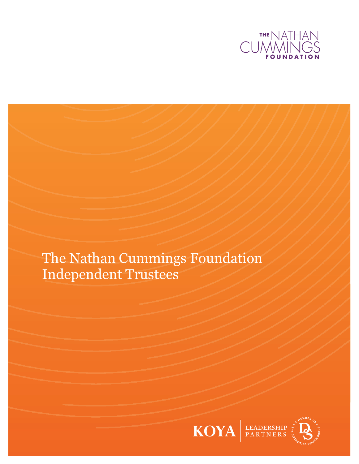

The Nathan Cummings Foundation Independent Trustees

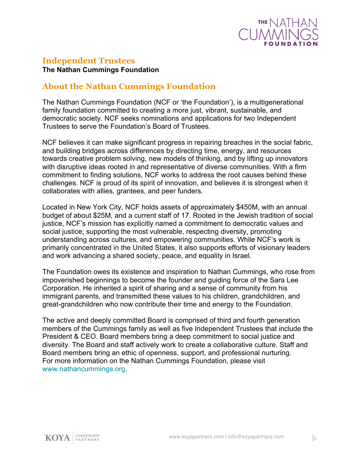

### **Independent Trustees**

**The Nathan Cummings Foundation**

### **About the Nathan Cummings Foundation**

The Nathan Cummings Foundation (NCF or 'the Foundation'), is a multigenerational family foundation committed to creating a more just, vibrant, sustainable, and democratic society. NCF seeks nominations and applications for two Independent Trustees to serve the Foundation's Board of Trustees.

NCF believes it can make significant progress in repairing breaches in the social fabric, and building bridges across differences by directing time, energy, and resources towards creative problem solving, new models of thinking, and by lifting up innovators with disruptive ideas rooted in and representative of diverse communities. With a firm commitment to finding solutions, NCF works to address the root causes behind these challenges. NCF is proud of its spirit of innovation, and believes it is strongest when it collaborates with allies, grantees, and peer funders.

Located in New York City, NCF holds assets of approximately \$450M, with an annual budget of about \$25M, and a current staff of 17. Rooted in the Jewish tradition of social justice, NCF's mission has explicitly named a commitment to democratic values and social justice; supporting the most vulnerable, respecting diversity, promoting understanding across cultures, and empowering communities. While NCF's work is primarily concentrated in the United States, it also supports efforts of visionary leaders and work advancing a shared society, peace, and equality in Israel.

The Foundation owes its existence and inspiration to Nathan Cummings, who rose from impoverished beginnings to become the founder and guiding force of the Sara Lee Corporation. He inherited a spirit of sharing and a sense of community from his immigrant parents, and transmitted these values to his children, grandchildren, and great-grandchildren who now contribute their time and energy to the Foundation.

The active and deeply committed Board is comprised of third and fourth generation members of the Cummings family as well as five Independent Trustees that include the President & CEO. Board members bring a deep commitment to social justice and diversity. The Board and staff actively work to create a collaborative culture. Staff and Board members bring an ethic of openness, support, and professional nurturing. For more information on the Nathan Cummings Foundation, please visit [www.nathancummings.org.](https://nathancummings.org/)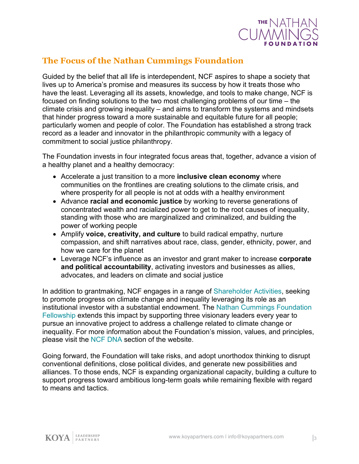

## **The Focus of the Nathan Cummings Foundation**

Guided by the belief that all life is interdependent, NCF aspires to shape a society that lives up to America's promise and measures its success by how it treats those who have the least. Leveraging all its assets, knowledge, and tools to make change, NCF is focused on finding solutions to the two most challenging problems of our time – the climate crisis and growing inequality – and aims to transform the systems and mindsets that hinder progress toward a more sustainable and equitable future for all people; particularly women and people of color. The Foundation has established a strong track record as a leader and innovator in the philanthropic community with a legacy of commitment to social justice philanthropy.

The Foundation invests in four integrated focus areas that, together, advance a vision of a healthy planet and a healthy democracy:

- Accelerate a just transition to a more **inclusive clean economy** where communities on the frontlines are creating solutions to the climate crisis, and where prosperity for all people is not at odds with a healthy environment
- Advance **racial and economic justice** by working to reverse generations of concentrated wealth and racialized power to get to the root causes of inequality, standing with those who are marginalized and criminalized, and building the power of working people
- Amplify **voice, creativity, and culture** to build radical empathy, nurture compassion, and shift narratives about race, class, gender, ethnicity, power, and how we care for the planet
- Leverage NCF's influence as an investor and grant maker to increase **corporate and political accountability**, activating investors and businesses as allies, advocates, and leaders on climate and social justice

In addition to grantmaking, NCF engages in a range of [Shareholder Activities,](https://nathancummings.org/our-investments/#section-2) seeking to promote progress on climate change and inequality leveraging its role as an institutional investor with a substantial endowment. The [Nathan Cummings Foundation](https://nathancummings.org/our-fellows/)  [Fellowship](https://nathancummings.org/our-fellows/) extends this impact by supporting three visionary leaders every year to pursue an innovative project to address a challenge related to climate change or inequality. For more information about the Foundation's mission, values, and principles, please visit the [NCF DNA](http://www.nathancummings.org/about-foundation/ncf-dna) section of the website.

Going forward, the Foundation will take risks, and adopt unorthodox thinking to disrupt conventional definitions, close political divides, and generate new possibilities and alliances. To those ends, NCF is expanding organizational capacity, building a culture to support progress toward ambitious long-term goals while remaining flexible with regard to means and tactics.

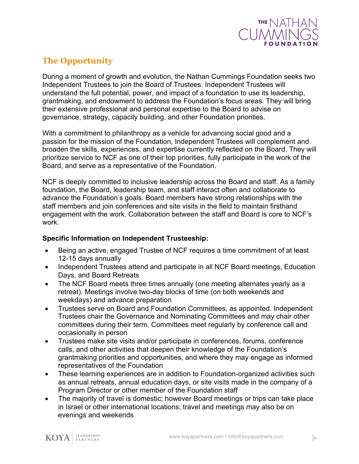

# **The Opportunity**

During a moment of growth and evolution, the Nathan Cummings Foundation seeks two Independent Trustees to join the Board of Trustees. Independent Trustees will understand the full potential, power, and impact of a foundation to use its leadership, grantmaking, and endowment to address the Foundation's focus areas. They will bring their extensive professional and personal expertise to the Board to advise on governance, strategy, capacity building, and other Foundation priorities.

With a commitment to philanthropy as a vehicle for advancing social good and a passion for the mission of the Foundation, Independent Trustees will complement and broaden the skills, experiences, and expertise currently reflected on the Board. They will prioritize service to NCF as one of their top priorities, fully participate in the work of the Board, and serve as a representative of the Foundation.

NCF is deeply committed to inclusive leadership across the Board and staff. As a family foundation, the Board, leadership team, and staff interact often and collaborate to advance the Foundation's goals. Board members have strong relationships with the staff members and join conferences and site visits in the field to maintain firsthand engagement with the work. Collaboration between the staff and Board is core to NCF's work.

#### **Specific Information on Independent Trusteeship:**

- Being an active, engaged Trustee of NCF requires a time commitment of at least 12-15 days annually
- Independent Trustees attend and participate in all NCF Board meetings, Education Days, and Board Retreats
- The NCF Board meets three times annually (one meeting alternates yearly as a retreat). Meetings involve two-day blocks of time (on both weekends and weekdays) and advance preparation
- Trustees serve on Board and Foundation Committees, as appointed. Independent Trustees chair the Governance and Nominating Committees and may chair other committees during their term. Committees meet regularly by conference call and occasionally in person
- Trustees make site visits and/or participate in conferences, forums, conference calls, and other activities that deepen their knowledge of the Foundation's grantmaking priorities and opportunities, and where they may engage as informed representatives of the Foundation
- These learning experiences are in addition to Foundation-organized activities such as annual retreats, annual education days, or site visits made in the company of a Program Director or other member of the Foundation staff
- The majority of travel is domestic; however Board meetings or trips can take place in Israel or other international locations; travel and meetings may also be on evenings and weekends

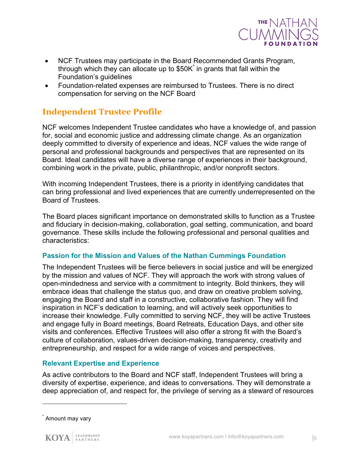

- NCF Trustees may participate in the Board Recommended Grants Program, through which they can allocate up to  $$50K$  in grants that fall within the Foundation's guidelines
- Foundation-related expenses are reimbursed to Trustees. There is no direct compensation for serving on the NCF Board

### **Independent Trustee Profile**

NCF welcomes Independent Trustee candidates who have a knowledge of, and passion for, social and economic justice and addressing climate change. As an organization deeply committed to diversity of experience and ideas, NCF values the wide range of personal and professional backgrounds and perspectives that are represented on its Board. Ideal candidates will have a diverse range of experiences in their background, combining work in the private, public, philanthropic, and/or nonprofit sectors.

With incoming Independent Trustees, there is a priority in identifying candidates that can bring professional and lived experiences that are currently underrepresented on the Board of Trustees.

The Board places significant importance on demonstrated skills to function as a Trustee and fiduciary in decision-making, collaboration, goal setting, communication, and board governance. These skills include the following professional and personal qualities and characteristics:

#### **Passion for the Mission and Values of the Nathan Cummings Foundation**

The Independent Trustees will be fierce believers in social justice and will be energized by the mission and values of NCF. They will approach the work with strong values of open-mindedness and service with a commitment to integrity. Bold thinkers, they will embrace ideas that challenge the status quo, and draw on creative problem solving, engaging the Board and staff in a constructive, collaborative fashion. They will find inspiration in NCF's dedication to learning, and will actively seek opportunities to increase their knowledge. Fully committed to serving NCF, they will be active Trustees and engage fully in Board meetings, Board Retreats, Education Days, and other site visits and conferences. Effective Trustees will also offer a strong fit with the Board's culture of collaboration, values-driven decision-making, transparency, creativity and entrepreneurship, and respect for a wide range of voices and perspectives.

#### **Relevant Expertise and Experience**

As active contributors to the Board and NCF staff, Independent Trustees will bring a diversity of expertise, experience, and ideas to conversations. They will demonstrate a deep appreciation of, and respect for, the privilege of serving as a steward of resources

1

Amount may vary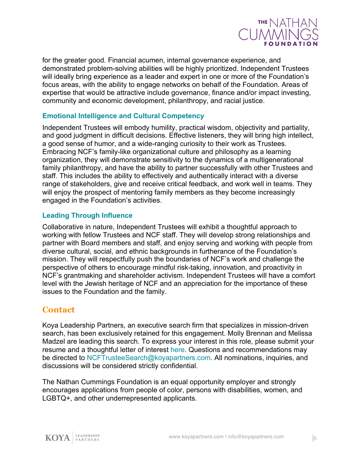

for the greater good. Financial acumen, internal governance experience, and demonstrated problem-solving abilities will be highly prioritized. Independent Trustees will ideally bring experience as a leader and expert in one or more of the Foundation's focus areas, with the ability to engage networks on behalf of the Foundation. Areas of expertise that would be attractive include governance, finance and/or impact investing, community and economic development, philanthropy, and racial justice.

#### **Emotional Intelligence and Cultural Competency**

Independent Trustees will embody humility, practical wisdom, objectivity and partiality, and good judgment in difficult decisions. Effective listeners, they will bring high intellect, a good sense of humor, and a wide-ranging curiosity to their work as Trustees. Embracing NCF's family-like organizational culture and philosophy as a learning organization, they will demonstrate sensitivity to the dynamics of a multigenerational family philanthropy, and have the ability to partner successfully with other Trustees and staff. This includes the ability to effectively and authentically interact with a diverse range of stakeholders, give and receive critical feedback, and work well in teams. They will enjoy the prospect of mentoring family members as they become increasingly engaged in the Foundation's activities.

#### **Leading Through Influence**

Collaborative in nature, Independent Trustees will exhibit a thoughtful approach to working with fellow Trustees and NCF staff. They will develop strong relationships and partner with Board members and staff, and enjoy serving and working with people from diverse cultural, social, and ethnic backgrounds in furtherance of the Foundation's mission. They will respectfully push the boundaries of NCF's work and challenge the perspective of others to encourage mindful risk-taking, innovation, and proactivity in NCF's grantmaking and shareholder activism. Independent Trustees will have a comfort level with the Jewish heritage of NCF and an appreciation for the importance of these issues to the Foundation and the family.

### **Contact**

Koya Leadership Partners, an executive search firm that specializes in mission-driven search, has been exclusively retained for this engagement. Molly Brennan and Melissa Madzel are leading this search. To express your interest in this role, please submit your resume and a thoughtful letter of interest [here](https://talent-profile.koyapartners.com/search/3880). Questions and recommendations may be directed to [NCFTrusteeSearch@koyapartners.com.](mailto:NCFTrusteeSearch@koyapartners.com) All nominations, inquiries, and discussions will be considered strictly confidential.

The Nathan Cummings Foundation is an equal opportunity employer and strongly encourages applications from people of color, persons with disabilities, women, and LGBTQ+, and other underrepresented applicants.